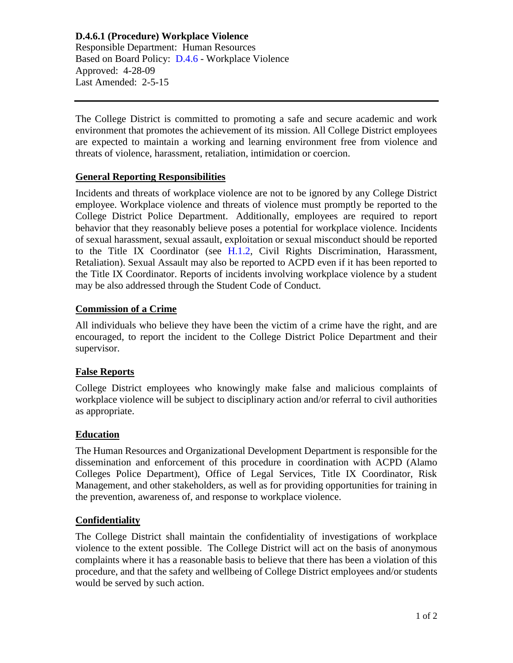**D.4.6.1 (Procedure) Workplace Violence** Responsible Department: Human Resources Based on Board Policy: [D.4.6](https://www.alamo.edu/siteassets/district/about-us/leadership/board-of-trustees/policies-pdfs/section-d/d.4.6-policy.pdf) - Workplace Violence Approved: 4-28-09 Last Amended: 2-5-15

The College District is committed to promoting a safe and secure academic and work environment that promotes the achievement of its mission. All College District employees are expected to maintain a working and learning environment free from violence and threats of violence, harassment, retaliation, intimidation or coercion.

## **General Reporting Responsibilities**

Incidents and threats of workplace violence are not to be ignored by any College District employee. Workplace violence and threats of violence must promptly be reported to the College District Police Department. Additionally, employees are required to report behavior that they reasonably believe poses a potential for workplace violence. Incidents of sexual harassment, sexual assault, exploitation or sexual misconduct should be reported to the Title IX Coordinator (see [H.1.2,](https://www.alamo.edu/siteassets/district/about-us/leadership/board-of-trustees/policies-pdfs/section-h/h.1.2-policy.pdf) Civil Rights Discrimination, Harassment, Retaliation). Sexual Assault may also be reported to ACPD even if it has been reported to the Title IX Coordinator. Reports of incidents involving workplace violence by a student may be also addressed through the Student Code of Conduct.

### **Commission of a Crime**

All individuals who believe they have been the victim of a crime have the right, and are encouraged, to report the incident to the College District Police Department and their supervisor.

#### **False Reports**

College District employees who knowingly make false and malicious complaints of workplace violence will be subject to disciplinary action and/or referral to civil authorities as appropriate.

#### **Education**

The Human Resources and Organizational Development Department is responsible for the dissemination and enforcement of this procedure in coordination with ACPD (Alamo Colleges Police Department), Office of Legal Services, Title IX Coordinator, Risk Management, and other stakeholders, as well as for providing opportunities for training in the prevention, awareness of, and response to workplace violence.

# **Confidentiality**

The College District shall maintain the confidentiality of investigations of workplace violence to the extent possible. The College District will act on the basis of anonymous complaints where it has a reasonable basis to believe that there has been a violation of this procedure, and that the safety and wellbeing of College District employees and/or students would be served by such action.